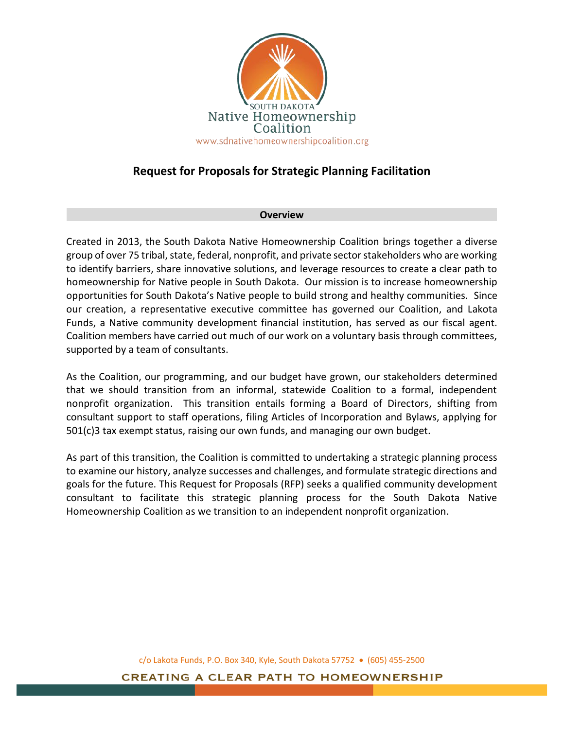

# **Request for Proposals for Strategic Planning Facilitation**

### **Overview**

Created in 2013, the South Dakota Native Homeownership Coalition brings together a diverse group of over 75 tribal, state, federal, nonprofit, and private sector stakeholders who are working to identify barriers, share innovative solutions, and leverage resources to create a clear path to homeownership for Native people in South Dakota. Our mission is to increase homeownership opportunities for South Dakota's Native people to build strong and healthy communities. Since our creation, a representative executive committee has governed our Coalition, and Lakota Funds, a Native community development financial institution, has served as our fiscal agent. Coalition members have carried out much of our work on a voluntary basis through committees, supported by a team of consultants.

As the Coalition, our programming, and our budget have grown, our stakeholders determined that we should transition from an informal, statewide Coalition to a formal, independent nonprofit organization. This transition entails forming a Board of Directors, shifting from consultant support to staff operations, filing Articles of Incorporation and Bylaws, applying for 501(c)3 tax exempt status, raising our own funds, and managing our own budget.

As part of this transition, the Coalition is committed to undertaking a strategic planning process to examine our history, analyze successes and challenges, and formulate strategic directions and goals for the future. This Request for Proposals (RFP) seeks a qualified community development consultant to facilitate this strategic planning process for the South Dakota Native Homeownership Coalition as we transition to an independent nonprofit organization.

c/o Lakota Funds, P.O. Box 340, Kyle, South Dakota 57752 • (605) 455-2500

**CREATING A CLEAR PATH TO HOMEOWNERSHIP**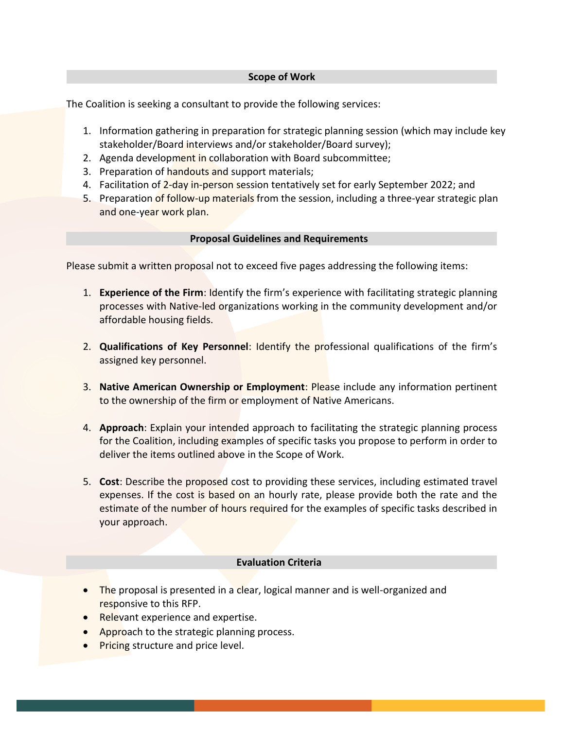#### **Scope of Work**

The Coalition is seeking a consultant to provide the following services:

- 1. Information gathering in preparation for strategic planning session (which may include key stakeholder/Board interviews and/or stakeholder/Board survey);
- 2. Agenda development in collaboration with Board subcommittee;
- 3. Preparation of handouts and support materials;
- 4. Facilitation of 2-day in-person session tentatively set for early September 2022; and
- 5. Preparation of follow-up materials from the session, including a three-year strategic plan and one-year work plan.

### **Proposal Guidelines and Requirements**

Please submit a written proposal not to exceed five pages addressing the following items:

- 1. **Experience of the Firm**: Identify the firm's experience with facilitating strategic planning processes with Native-led organizations working in the community development and/or affordable housing fields.
- 2. **Qualifications of Key Personnel**: Identify the professional qualifications of the firm's assigned key personnel.
- 3. **Native American Ownership or Employment**: Please include any information pertinent to the ownership of the firm or employment of Native Americans.
- 4. **Approach**: Explain your intended approach to facilitating the strategic planning process for the Coalition, including examples of specific tasks you propose to perform in order to deliver the items outlined above in the Scope of Work.
- 5. **Cost**: Describe the proposed cost to providing these services, including estimated travel expenses. If the cost is based on an hourly rate, please provide both the rate and the estimate of the number of hours required for the examples of specific tasks described in your approach.

## **Evaluation Criteria**

- The proposal is presented in a clear, logical manner and is well-organized and responsive to this RFP.
- Relevant experience and expertise.
- Approach to the strategic planning process.
- **Pricing structure and price level.**